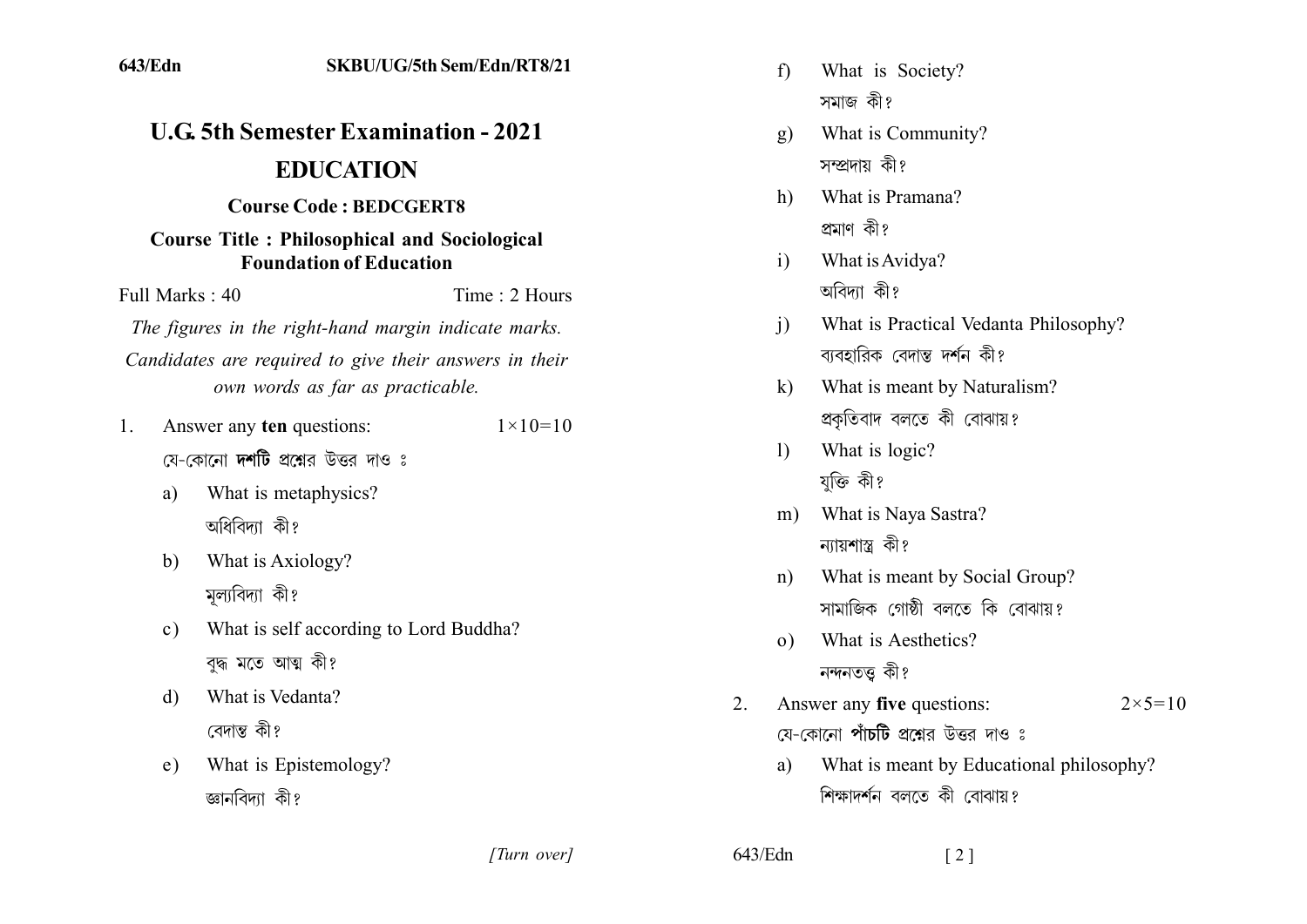| 643/Edn                                                                                                                                                                                   | SKBU/UG/5th Sem/Edn/RT8/21                                   |                    |                                                                                                                              | f                                                                                      | What is Society?<br>সমাজ কী?              |  |  |
|-------------------------------------------------------------------------------------------------------------------------------------------------------------------------------------------|--------------------------------------------------------------|--------------------|------------------------------------------------------------------------------------------------------------------------------|----------------------------------------------------------------------------------------|-------------------------------------------|--|--|
|                                                                                                                                                                                           |                                                              |                    |                                                                                                                              |                                                                                        |                                           |  |  |
| <b>U.G. 5th Semester Examination - 2021</b><br><b>EDUCATION</b><br><b>Course Code: BEDCGERT8</b><br><b>Course Title: Philosophical and Sociological</b><br><b>Foundation of Education</b> |                                                              |                    |                                                                                                                              | g)                                                                                     | What is Community?<br>সম্প্রদায় কী?      |  |  |
|                                                                                                                                                                                           |                                                              |                    |                                                                                                                              |                                                                                        |                                           |  |  |
|                                                                                                                                                                                           |                                                              |                    |                                                                                                                              | What is Pramana?<br>h)                                                                 |                                           |  |  |
|                                                                                                                                                                                           |                                                              |                    | প্ৰমাণ কী?<br>What is Avidya?<br>$\mathbf{i}$                                                                                |                                                                                        |                                           |  |  |
| Full Marks: 40<br>Time: 2 Hours                                                                                                                                                           |                                                              |                    |                                                                                                                              | অবিদ্যা কী?                                                                            |                                           |  |  |
| The figures in the right-hand margin indicate marks.<br>Candidates are required to give their answers in their                                                                            |                                                              |                    |                                                                                                                              | What is Practical Vedanta Philosophy?<br>j)<br>ব্যবহারিক বেদান্ত দর্শন কী?             |                                           |  |  |
| own words as far as practicable.                                                                                                                                                          |                                                              |                    |                                                                                                                              | $\bf k)$                                                                               | What is meant by Naturalism?              |  |  |
| 1.                                                                                                                                                                                        | Answer any ten questions:                                    | $1 \times 10 = 10$ |                                                                                                                              |                                                                                        | প্রকৃতিবাদ বলতে কী বোঝায়?                |  |  |
| যে-কোনো দর্শটি প্রশ্নের উত্তর দাও ঃ                                                                                                                                                       |                                                              |                    | $\left( \frac{1}{2} \right)$                                                                                                 | What is logic?                                                                         |                                           |  |  |
| a)                                                                                                                                                                                        | What is metaphysics?                                         |                    |                                                                                                                              |                                                                                        | যুক্তি কী?                                |  |  |
|                                                                                                                                                                                           | অধিবিদ্যা কী?                                                |                    |                                                                                                                              | m)                                                                                     | What is Naya Sastra?<br>ন্যায়শাস্ত্র কী? |  |  |
| b)                                                                                                                                                                                        | What is Axiology?<br>মূল্যবিদ্যা কী?                         |                    | What is meant by Social Group?<br>n)<br>সামাজিক গোষ্ঠী বলতে কি বোঝায়?<br>What is Aesthetics?<br>$\Omega$ )<br>নন্দনতত্ত কী? |                                                                                        |                                           |  |  |
| $\mathbf{c})$                                                                                                                                                                             | What is self according to Lord Buddha?<br>বুদ্ধ মতে আত্ম কী? |                    |                                                                                                                              |                                                                                        |                                           |  |  |
| $\mathbf{d}$                                                                                                                                                                              | What is Vedanta?<br>বেদান্ত কী?                              |                    | 2.                                                                                                                           | Answer any five questions:<br>$2 \times 5 = 10$<br>যে-কোনো পাঁচটি প্রশ্নের উত্তর দাও ঃ |                                           |  |  |
| e)                                                                                                                                                                                        | What is Epistemology?                                        |                    |                                                                                                                              | a)                                                                                     | What is meant by Educational philosophy?  |  |  |
|                                                                                                                                                                                           | জ্ঞানবিদ্যা কী?                                              |                    |                                                                                                                              |                                                                                        | শিক্ষাদর্শন বলতে কী বোঝায়?               |  |  |
|                                                                                                                                                                                           |                                                              | [Turn over]        | 643/Edn                                                                                                                      |                                                                                        | $\lceil 2 \rceil$                         |  |  |

643/Edn